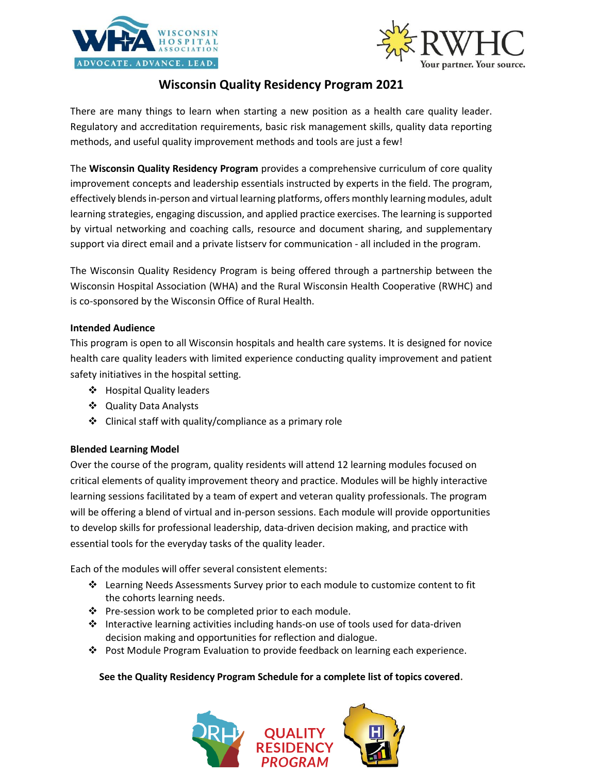



# **Wisconsin Quality Residency Program 2021**

There are many things to learn when starting a new position as a health care quality leader. Regulatory and accreditation requirements, basic risk management skills, quality data reporting methods, and useful quality improvement methods and tools are just a few!

The **Wisconsin Quality Residency Program** provides a comprehensive curriculum of core quality improvement concepts and leadership essentials instructed by experts in the field. The program, effectively blends in-person and virtual learning platforms, offers monthly learning modules, adult learning strategies, engaging discussion, and applied practice exercises. The learning is supported by virtual networking and coaching calls, resource and document sharing, and supplementary support via direct email and a private listserv for communication - all included in the program.

The Wisconsin Quality Residency Program is being offered through a partnership between the Wisconsin Hospital Association (WHA) and the Rural Wisconsin Health Cooperative (RWHC) and is co-sponsored by the Wisconsin Office of Rural Health.

#### **Intended Audience**

This program is open to all Wisconsin hospitals and health care systems. It is designed for novice health care quality leaders with limited experience conducting quality improvement and patient safety initiatives in the hospital setting.

- ❖ Hospital Quality leaders
- ❖ Quality Data Analysts
- ❖ Clinical staff with quality/compliance as a primary role

# **Blended Learning Model**

Over the course of the program, quality residents will attend 12 learning modules focused on critical elements of quality improvement theory and practice. Modules will be highly interactive learning sessions facilitated by a team of expert and veteran quality professionals. The program will be offering a blend of virtual and in-person sessions. Each module will provide opportunities to develop skills for professional leadership, data-driven decision making, and practice with essential tools for the everyday tasks of the quality leader.

Each of the modules will offer several consistent elements:

- ❖ Learning Needs Assessments Survey prior to each module to customize content to fit the cohorts learning needs.
- ❖ Pre-session work to be completed prior to each module.
- ❖ Interactive learning activities including hands-on use of tools used for data-driven decision making and opportunities for reflection and dialogue.
- ❖ Post Module Program Evaluation to provide feedback on learning each experience.

#### **See the Quality Residency Program Schedule for a complete list of topics covered.**

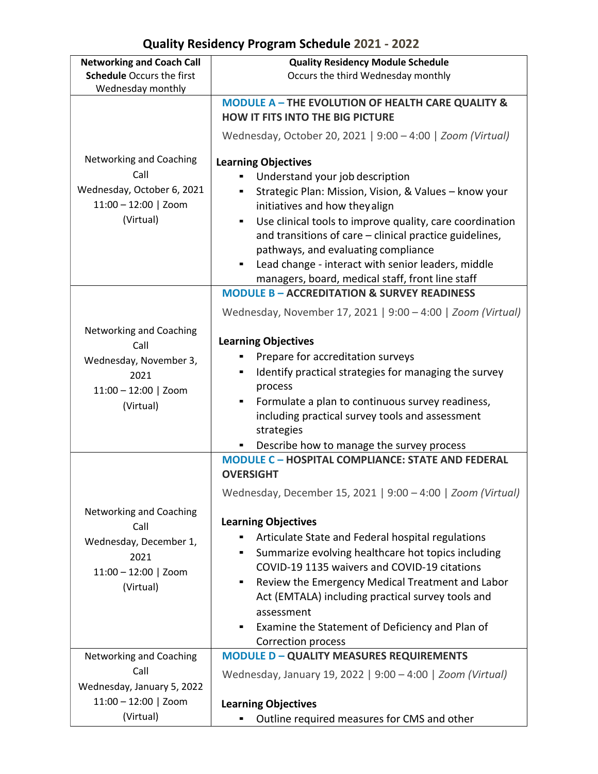# **Quality Residency Program Schedule 2021 - 2022**

| <b>Networking and Coach Call</b>                                                                     | <b>Quality Residency Module Schedule</b>                                                                                                                                                                                                                                                                                                                                                                                         |
|------------------------------------------------------------------------------------------------------|----------------------------------------------------------------------------------------------------------------------------------------------------------------------------------------------------------------------------------------------------------------------------------------------------------------------------------------------------------------------------------------------------------------------------------|
| <b>Schedule Occurs the first</b><br>Wednesday monthly                                                | Occurs the third Wednesday monthly                                                                                                                                                                                                                                                                                                                                                                                               |
|                                                                                                      | <b>MODULE A - THE EVOLUTION OF HEALTH CARE QUALITY &amp;</b>                                                                                                                                                                                                                                                                                                                                                                     |
|                                                                                                      | <b>HOW IT FITS INTO THE BIG PICTURE</b>                                                                                                                                                                                                                                                                                                                                                                                          |
|                                                                                                      | Wednesday, October 20, 2021   9:00 - 4:00   Zoom (Virtual)                                                                                                                                                                                                                                                                                                                                                                       |
| Networking and Coaching<br>Call<br>Wednesday, October 6, 2021<br>$11:00 - 12:00$   Zoom<br>(Virtual) | <b>Learning Objectives</b><br>Understand your job description<br>Strategic Plan: Mission, Vision, & Values - know your<br>initiatives and how they align<br>Use clinical tools to improve quality, care coordination<br>and transitions of care - clinical practice guidelines,<br>pathways, and evaluating compliance<br>Lead change - interact with senior leaders, middle<br>managers, board, medical staff, front line staff |
|                                                                                                      | <b>MODULE B - ACCREDITATION &amp; SURVEY READINESS</b>                                                                                                                                                                                                                                                                                                                                                                           |
|                                                                                                      | Wednesday, November 17, 2021   9:00 - 4:00   Zoom (Virtual)                                                                                                                                                                                                                                                                                                                                                                      |
| Networking and Coaching<br>Call                                                                      | <b>Learning Objectives</b>                                                                                                                                                                                                                                                                                                                                                                                                       |
| Wednesday, November 3,                                                                               | Prepare for accreditation surveys                                                                                                                                                                                                                                                                                                                                                                                                |
| 2021                                                                                                 | Identify practical strategies for managing the survey<br>٠                                                                                                                                                                                                                                                                                                                                                                       |
| $11:00 - 12:00$   Zoom                                                                               | process<br>Formulate a plan to continuous survey readiness,                                                                                                                                                                                                                                                                                                                                                                      |
| (Virtual)                                                                                            | including practical survey tools and assessment                                                                                                                                                                                                                                                                                                                                                                                  |
|                                                                                                      | strategies                                                                                                                                                                                                                                                                                                                                                                                                                       |
|                                                                                                      | Describe how to manage the survey process                                                                                                                                                                                                                                                                                                                                                                                        |
|                                                                                                      | <b>MODULE C - HOSPITAL COMPLIANCE: STATE AND FEDERAL</b><br><b>OVERSIGHT</b>                                                                                                                                                                                                                                                                                                                                                     |
|                                                                                                      | Wednesday, December 15, 2021   9:00 - 4:00   Zoom (Virtual)                                                                                                                                                                                                                                                                                                                                                                      |
| Networking and Coaching                                                                              | <b>Learning Objectives</b>                                                                                                                                                                                                                                                                                                                                                                                                       |
| Call                                                                                                 | Articulate State and Federal hospital regulations<br>٠                                                                                                                                                                                                                                                                                                                                                                           |
| Wednesday, December 1,<br>2021                                                                       | Summarize evolving healthcare hot topics including<br>٠                                                                                                                                                                                                                                                                                                                                                                          |
| $11:00 - 12:00$   Zoom                                                                               | COVID-19 1135 waivers and COVID-19 citations                                                                                                                                                                                                                                                                                                                                                                                     |
| (Virtual)                                                                                            | Review the Emergency Medical Treatment and Labor<br>٠                                                                                                                                                                                                                                                                                                                                                                            |
|                                                                                                      | Act (EMTALA) including practical survey tools and<br>assessment                                                                                                                                                                                                                                                                                                                                                                  |
|                                                                                                      | Examine the Statement of Deficiency and Plan of                                                                                                                                                                                                                                                                                                                                                                                  |
|                                                                                                      | Correction process                                                                                                                                                                                                                                                                                                                                                                                                               |
| Networking and Coaching                                                                              | <b>MODULE D - QUALITY MEASURES REQUIREMENTS</b>                                                                                                                                                                                                                                                                                                                                                                                  |
| Call                                                                                                 | Wednesday, January 19, 2022   9:00 - 4:00   Zoom (Virtual)                                                                                                                                                                                                                                                                                                                                                                       |
| Wednesday, January 5, 2022                                                                           |                                                                                                                                                                                                                                                                                                                                                                                                                                  |
| $11:00 - 12:00$   Zoom<br>(Virtual)                                                                  | <b>Learning Objectives</b>                                                                                                                                                                                                                                                                                                                                                                                                       |
|                                                                                                      | Outline required measures for CMS and other                                                                                                                                                                                                                                                                                                                                                                                      |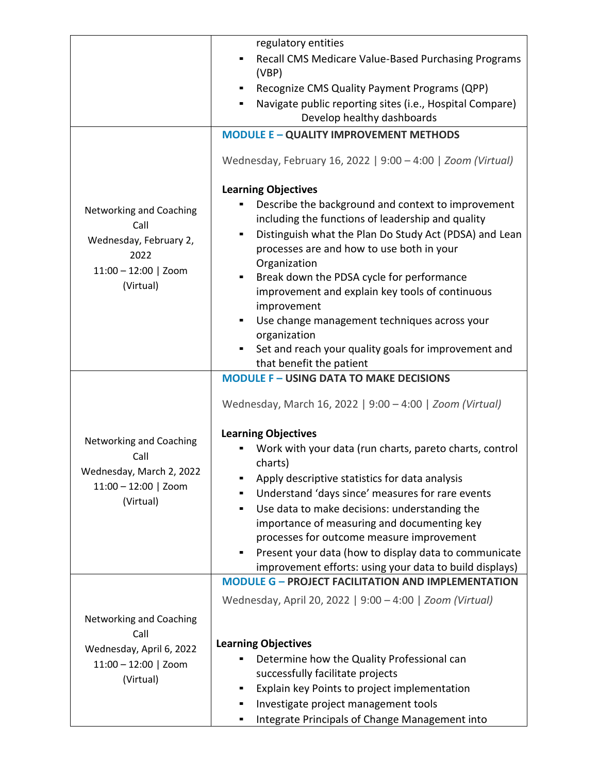|                                                                   | regulatory entities                                                                                                                                                                                                            |
|-------------------------------------------------------------------|--------------------------------------------------------------------------------------------------------------------------------------------------------------------------------------------------------------------------------|
|                                                                   | Recall CMS Medicare Value-Based Purchasing Programs<br>٠<br>(VBP)                                                                                                                                                              |
|                                                                   | Recognize CMS Quality Payment Programs (QPP)<br>٠                                                                                                                                                                              |
|                                                                   | Navigate public reporting sites (i.e., Hospital Compare)<br>Develop healthy dashboards                                                                                                                                         |
|                                                                   | <b>MODULE E - QUALITY IMPROVEMENT METHODS</b>                                                                                                                                                                                  |
|                                                                   |                                                                                                                                                                                                                                |
|                                                                   | Wednesday, February 16, 2022   9:00 - 4:00   Zoom (Virtual)                                                                                                                                                                    |
|                                                                   | <b>Learning Objectives</b>                                                                                                                                                                                                     |
| Networking and Coaching<br>Call<br>Wednesday, February 2,<br>2022 | Describe the background and context to improvement<br>including the functions of leadership and quality<br>Distinguish what the Plan Do Study Act (PDSA) and Lean<br>processes are and how to use both in your<br>Organization |
| $11:00 - 12:00$   Zoom                                            | Break down the PDSA cycle for performance<br>٠                                                                                                                                                                                 |
| (Virtual)                                                         | improvement and explain key tools of continuous<br>improvement                                                                                                                                                                 |
|                                                                   | Use change management techniques across your<br>$\blacksquare$<br>organization                                                                                                                                                 |
|                                                                   | Set and reach your quality goals for improvement and<br>that benefit the patient                                                                                                                                               |
|                                                                   | <b>MODULE F - USING DATA TO MAKE DECISIONS</b>                                                                                                                                                                                 |
|                                                                   | Wednesday, March 16, 2022   9:00 - 4:00   Zoom (Virtual)                                                                                                                                                                       |
|                                                                   | <b>Learning Objectives</b>                                                                                                                                                                                                     |
| Networking and Coaching<br>Call                                   | Work with your data (run charts, pareto charts, control<br>charts)                                                                                                                                                             |
| Wednesday, March 2, 2022                                          | Apply descriptive statistics for data analysis                                                                                                                                                                                 |
| $11:00 - 12:00$   Zoom                                            | Understand 'days since' measures for rare events                                                                                                                                                                               |
| (Virtual)                                                         | Use data to make decisions: understanding the                                                                                                                                                                                  |
|                                                                   | importance of measuring and documenting key                                                                                                                                                                                    |
|                                                                   | processes for outcome measure improvement                                                                                                                                                                                      |
|                                                                   | Present your data (how to display data to communicate<br>ш                                                                                                                                                                     |
|                                                                   | improvement efforts: using your data to build displays)<br><b>MODULE G - PROJECT FACILITATION AND IMPLEMENTATION</b>                                                                                                           |
|                                                                   |                                                                                                                                                                                                                                |
|                                                                   | Wednesday, April 20, 2022   9:00 - 4:00   Zoom (Virtual)                                                                                                                                                                       |
| Networking and Coaching                                           |                                                                                                                                                                                                                                |
| Call                                                              | <b>Learning Objectives</b>                                                                                                                                                                                                     |
| Wednesday, April 6, 2022                                          | Determine how the Quality Professional can                                                                                                                                                                                     |
| $11:00 - 12:00$   Zoom<br>(Virtual)                               | successfully facilitate projects                                                                                                                                                                                               |
|                                                                   | Explain key Points to project implementation                                                                                                                                                                                   |
|                                                                   | Investigate project management tools                                                                                                                                                                                           |
|                                                                   | Integrate Principals of Change Management into                                                                                                                                                                                 |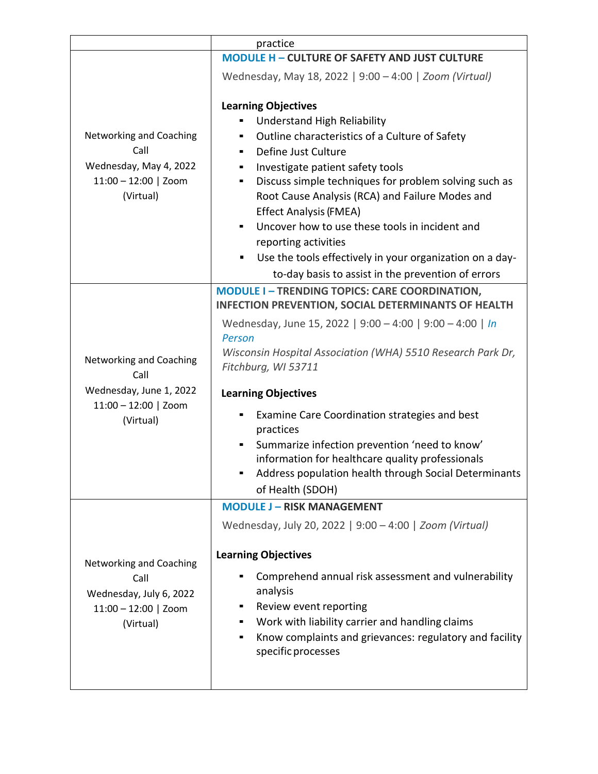|                                                                                                   | practice                                                                                                                                                                                                                                                                                                                                                                                                                                                                                                                                                          |
|---------------------------------------------------------------------------------------------------|-------------------------------------------------------------------------------------------------------------------------------------------------------------------------------------------------------------------------------------------------------------------------------------------------------------------------------------------------------------------------------------------------------------------------------------------------------------------------------------------------------------------------------------------------------------------|
|                                                                                                   | <b>MODULE H - CULTURE OF SAFETY AND JUST CULTURE</b>                                                                                                                                                                                                                                                                                                                                                                                                                                                                                                              |
|                                                                                                   | Wednesday, May 18, 2022   9:00 - 4:00   Zoom (Virtual)                                                                                                                                                                                                                                                                                                                                                                                                                                                                                                            |
| Networking and Coaching<br>Call<br>Wednesday, May 4, 2022<br>$11:00 - 12:00$   Zoom<br>(Virtual)  | <b>Learning Objectives</b><br>Understand High Reliability<br>Outline characteristics of a Culture of Safety<br>٠<br>Define Just Culture<br>٠<br>Investigate patient safety tools<br>٠<br>Discuss simple techniques for problem solving such as<br>Ξ<br>Root Cause Analysis (RCA) and Failure Modes and<br><b>Effect Analysis (FMEA)</b><br>Uncover how to use these tools in incident and<br>٠<br>reporting activities<br>Use the tools effectively in your organization on a day-<br>to-day basis to assist in the prevention of errors                          |
| Networking and Coaching<br>Call<br>Wednesday, June 1, 2022<br>$11:00 - 12:00$   Zoom<br>(Virtual) | <b>MODULE I-TRENDING TOPICS: CARE COORDINATION,</b><br><b>INFECTION PREVENTION, SOCIAL DETERMINANTS OF HEALTH</b><br>Wednesday, June 15, 2022   9:00 - 4:00   9:00 - 4:00   In<br>Person<br>Wisconsin Hospital Association (WHA) 5510 Research Park Dr,<br>Fitchburg, WI 53711<br><b>Learning Objectives</b><br>Examine Care Coordination strategies and best<br>practices<br>Summarize infection prevention 'need to know'<br>٠<br>information for healthcare quality professionals<br>Address population health through Social Determinants<br>of Health (SDOH) |
| Networking and Coaching<br>Call<br>Wednesday, July 6, 2022<br>$11:00 - 12:00$   Zoom<br>(Virtual) | <b>MODULE J - RISK MANAGEMENT</b><br>Wednesday, July 20, 2022   9:00 - 4:00   Zoom (Virtual)<br><b>Learning Objectives</b><br>Comprehend annual risk assessment and vulnerability<br>analysis<br>Review event reporting<br>Work with liability carrier and handling claims<br>ш<br>Know complaints and grievances: regulatory and facility<br>specific processes                                                                                                                                                                                                  |